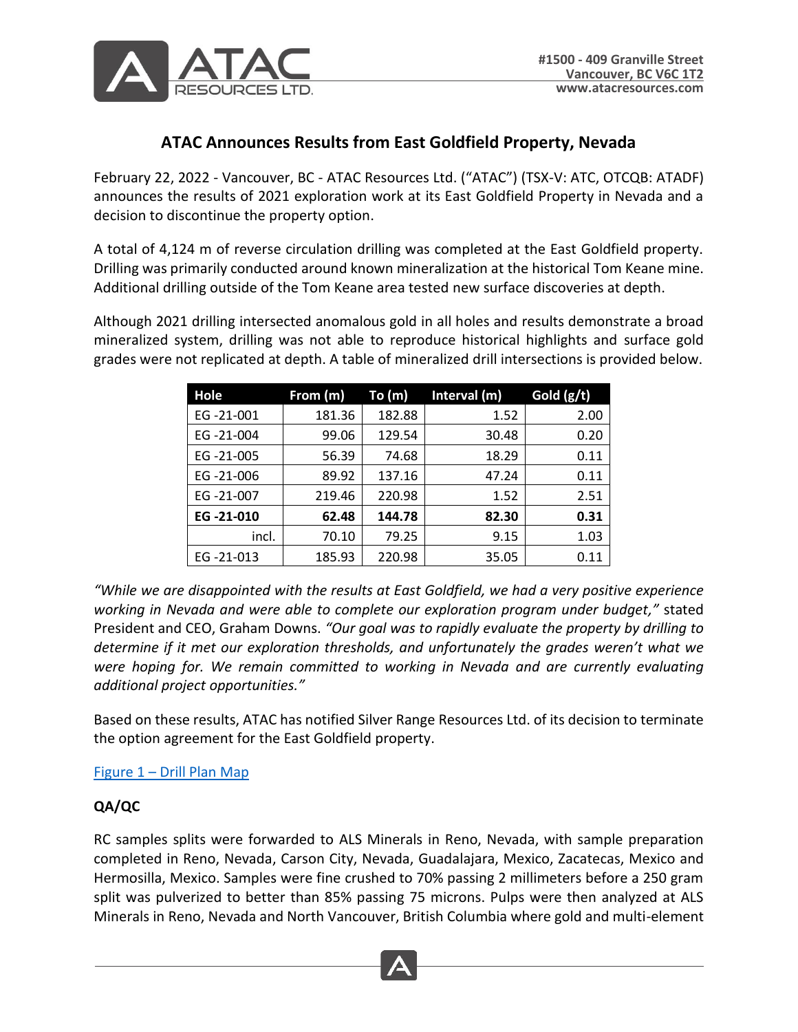

# **ATAC Announces Results from East Goldfield Property, Nevada**

February 22, 2022 - Vancouver, BC - ATAC Resources Ltd. ("ATAC") (TSX-V: ATC, OTCQB: ATADF) announces the results of 2021 exploration work at its East Goldfield Property in Nevada and a decision to discontinue the property option.

A total of 4,124 m of reverse circulation drilling was completed at the East Goldfield property. Drilling was primarily conducted around known mineralization at the historical Tom Keane mine. Additional drilling outside of the Tom Keane area tested new surface discoveries at depth.

Although 2021 drilling intersected anomalous gold in all holes and results demonstrate a broad mineralized system, drilling was not able to reproduce historical highlights and surface gold grades were not replicated at depth. A table of mineralized drill intersections is provided below.

| Hole      | From (m) | To(m)  | Interval (m) | Gold $(g/t)$ |
|-----------|----------|--------|--------------|--------------|
| EG-21-001 | 181.36   | 182.88 | 1.52         | 2.00         |
| EG-21-004 | 99.06    | 129.54 | 30.48        | 0.20         |
| EG-21-005 | 56.39    | 74.68  | 18.29        | 0.11         |
| EG-21-006 | 89.92    | 137.16 | 47.24        | 0.11         |
| EG-21-007 | 219.46   | 220.98 | 1.52         | 2.51         |
| EG-21-010 | 62.48    | 144.78 | 82.30        | 0.31         |
| incl.     | 70.10    | 79.25  | 9.15         | 1.03         |
| EG-21-013 | 185.93   | 220.98 | 35.05        | 0.11         |

*"While we are disappointed with the results at East Goldfield, we had a very positive experience working in Nevada and were able to complete our exploration program under budget,"* stated President and CEO, Graham Downs. *"Our goal was to rapidly evaluate the property by drilling to determine if it met our exploration thresholds, and unfortunately the grades weren't what we were hoping for. We remain committed to working in Nevada and are currently evaluating additional project opportunities."*

Based on these results, ATAC has notified Silver Range Resources Ltd. of its decision to terminate the option agreement for the East Goldfield property.

# Figure 1 – [Drill Plan Map](https://atacresources.com/assets/docs/2022.02.22_East_Goldfield_Drill_Plan_Map.pdf)

# **QA/QC**

RC samples splits were forwarded to ALS Minerals in Reno, Nevada, with sample preparation completed in Reno, Nevada, Carson City, Nevada, Guadalajara, Mexico, Zacatecas, Mexico and Hermosilla, Mexico. Samples were fine crushed to 70% passing 2 millimeters before a 250 gram split was pulverized to better than 85% passing 75 microns. Pulps were then analyzed at ALS Minerals in Reno, Nevada and North Vancouver, British Columbia where gold and multi-element

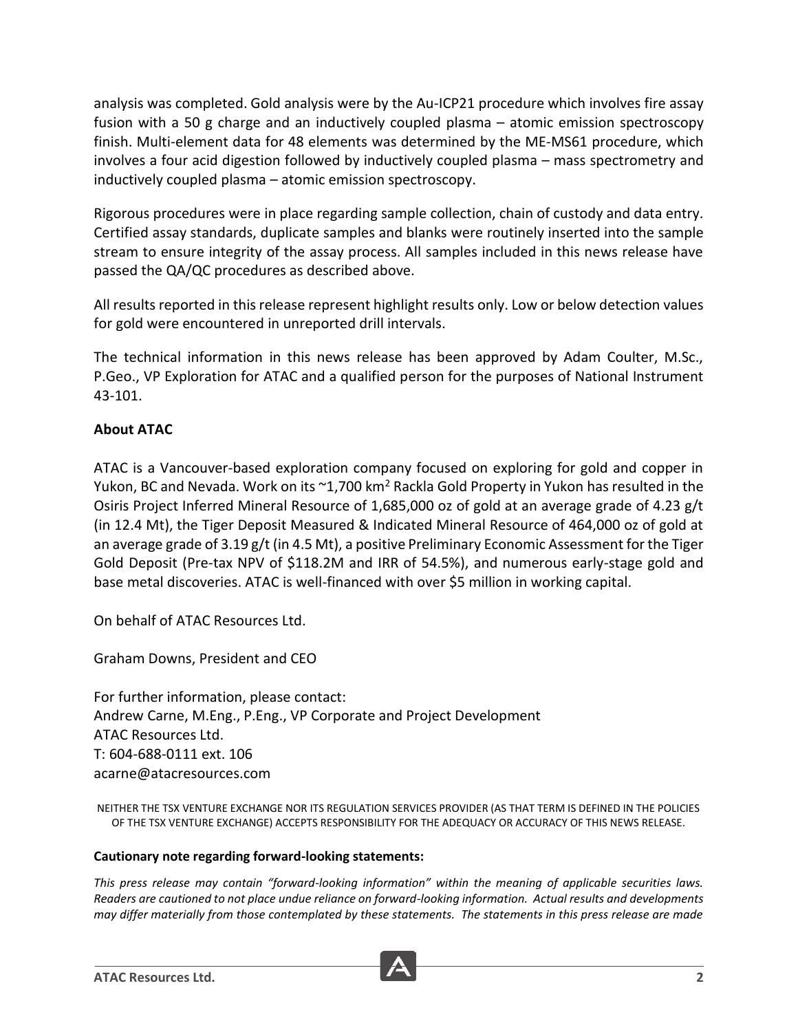analysis was completed. Gold analysis were by the Au-ICP21 procedure which involves fire assay fusion with a 50 g charge and an inductively coupled plasma – atomic emission spectroscopy finish. Multi-element data for 48 elements was determined by the ME-MS61 procedure, which involves a four acid digestion followed by inductively coupled plasma – mass spectrometry and inductively coupled plasma – atomic emission spectroscopy.

Rigorous procedures were in place regarding sample collection, chain of custody and data entry. Certified assay standards, duplicate samples and blanks were routinely inserted into the sample stream to ensure integrity of the assay process. All samples included in this news release have passed the QA/QC procedures as described above.

All results reported in this release represent highlight results only. Low or below detection values for gold were encountered in unreported drill intervals.

The technical information in this news release has been approved by Adam Coulter, M.Sc., P.Geo., VP Exploration for ATAC and a qualified person for the purposes of National Instrument 43-101.

# **About ATAC**

ATAC is a Vancouver-based exploration company focused on exploring for gold and copper in Yukon, BC and Nevada. Work on its  $\sim 1,700$  km<sup>2</sup> Rackla Gold Property in Yukon has resulted in the Osiris Project Inferred Mineral Resource of 1,685,000 oz of gold at an average grade of 4.23 g/t (in 12.4 Mt), the Tiger Deposit Measured & Indicated Mineral Resource of 464,000 oz of gold at an average grade of 3.19 g/t (in 4.5 Mt), a positive Preliminary Economic Assessment for the Tiger Gold Deposit (Pre-tax NPV of \$118.2M and IRR of 54.5%), and numerous early-stage gold and base metal discoveries. ATAC is well-financed with over \$5 million in working capital.

On behalf of ATAC Resources Ltd.

Graham Downs, President and CEO

For further information, please contact: Andrew Carne, M.Eng., P.Eng., VP Corporate and Project Development ATAC Resources Ltd. T: 604-688-0111 ext. 106 acarne@atacresources.com

NEITHER THE TSX VENTURE EXCHANGE NOR ITS REGULATION SERVICES PROVIDER (AS THAT TERM IS DEFINED IN THE POLICIES OF THE TSX VENTURE EXCHANGE) ACCEPTS RESPONSIBILITY FOR THE ADEQUACY OR ACCURACY OF THIS NEWS RELEASE.

# **Cautionary note regarding forward-looking statements:**

*This press release may contain "forward-looking information" within the meaning of applicable securities laws. Readers are cautioned to not place undue reliance on forward-looking information. Actual results and developments may differ materially from those contemplated by these statements. The statements in this press release are made*